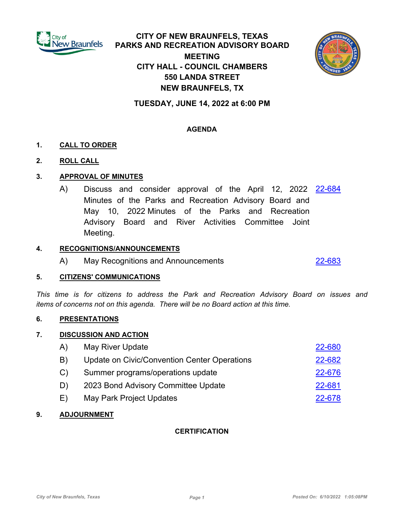

# **CITY OF NEW BRAUNFELS, TEXAS PARKS AND RECREATION ADVISORY BOARD MEETING CITY HALL - COUNCIL CHAMBERS 550 LANDA STREET NEW BRAUNFELS, TX**



## **TUESDAY, JUNE 14, 2022 at 6:00 PM**

## **AGENDA**

## **1. CALL TO ORDER**

## **2. ROLL CALL**

#### **3. APPROVAL OF MINUTES**

A) Discuss and consider approval of the April 12, 2022 <u>[22-684](http://newbraunfels.legistar.com/gateway.aspx?m=l&id=/matter.aspx?key=10699)</u> Minutes of the Parks and Recreation Advisory Board and May 10, 2022 Minutes of the Parks and Recreation Advisory Board and River Activities Committee Joint Meeting.

#### **4. RECOGNITIONS/ANNOUNCEMENTS**

A) May Recognitions and Announcements [22-683](http://newbraunfels.legistar.com/gateway.aspx?m=l&id=/matter.aspx?key=10698)

#### **5. CITIZENS' COMMUNICATIONS**

*This time is for citizens to address the Park and Recreation Advisory Board on issues and items of concerns not on this agenda. There will be no Board action at this time.*

#### **6. PRESENTATIONS**

#### **7. DISCUSSION AND ACTION**

| (A) | May River Update                             | 22-680 |
|-----|----------------------------------------------|--------|
| B)  | Update on Civic/Convention Center Operations | 22-682 |
| C)  | Summer programs/operations update            | 22-676 |
| D)  | 2023 Bond Advisory Committee Update          | 22-681 |
| E)  | May Park Project Updates                     | 22-678 |

#### **9. ADJOURNMENT**

#### **CERTIFICATION**